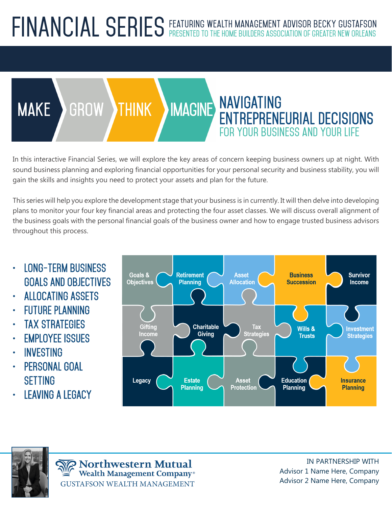### **FINANCIAL SERIES Featuring wealth management advisor becky gustafson Presented to the home builders association of greater new Orleans**



In this interactive Financial Series, we will explore the key areas of concern keeping business owners up at night. With sound business planning and exploring financial opportunities for your personal security and business stability, you will gain the skills and insights you need to protect your assets and plan for the future.

This series will help you explore the development stage that your business is in currently. It will then delve into developing plans to monitor your four key financial areas and protecting the four asset classes. We will discuss overall alignment of the business goals with the personal financial goals of the business owner and how to engage trusted business advisors throughout this process.

- **LONG-TERM BUSINESS GOALS AND OBJECTIVES**
- **ALLOCATING ASSETS**
- **FUTURE PLANNING**
- **TAX STRATEGIES**
- **EMPLOYEE ISSUES**
- **INVESTING**
- **PERSONAL GOAL SETTING**
- **LEAVING A LEGACY**



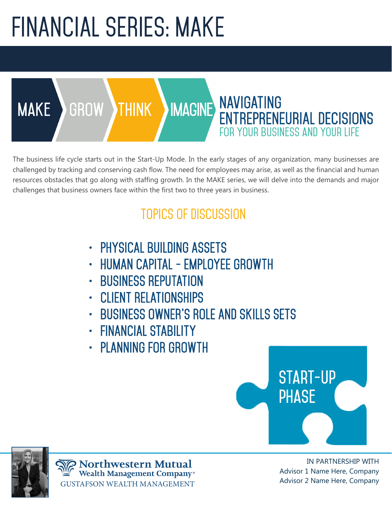## **FINANCIAL SERIES: MAKE**

**make GROW THINK imagine**

**ENTREPRENEURIAL DECISIONS for your business and your life** The business life cycle starts out in the Start-Up Mode. In the early stages of any organization, many businesses are challenged by tracking and conserving cash flow. The need for employees may arise, as well as the financial and human resources obstacles that go along with staffing growth. In the MAKE series, we will delve into the demands and major

**NAVIGATING** 

#### **TOPICS OF DISCUSSION**

- **PHYSICAL BUILDING ASSETS**
- **HUMAN CAPITAL EMPLOYEE GROWTH**
- **BUSINESS REPUTATION**

challenges that business owners face within the first two to three years in business.

- **CLIENT RELATIONSHIPS**
- **BUSINESS OWNER'S ROLE AND SKILLS SETS**
- **FINANCIAL STABILITY**
- **PLANNING FOR GROWTH**



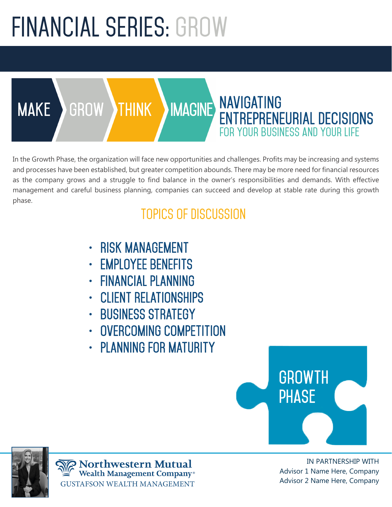## **FINANCIAL SERIES: GROW**

**make GROW THINK imagine**

In the Growth Phase, the organization will face new opportunities and challenges. Profits may be increasing and systems and processes have been established, but greater competition abounds. There may be more need for financial resources as the company grows and a struggle to find balance in the owner's responsibilities and demands. With effective management and careful business planning, companies can succeed and develop at stable rate during this growth phase.

**NAVIGATING** 

**ENTREPRENEURIAL DECISIONS**

**for your business and your life**

#### **TOPICS OF DISCUSSION**

- **RISK MANAGEMENT**
- **EMPLOYEE BENEFITS**
- **FINANCIAL PLANNING**
- **CLIENT RELATIONSHIPS**
- **BUSINESS STRATEGY**
- **OVERCOMING COMPETITION**
- **PLANNING FOR MATURITY**



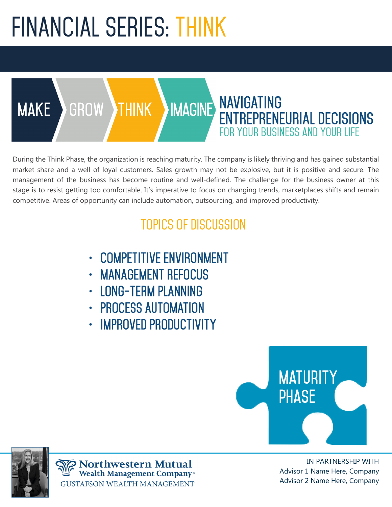## **FINANCIAL SERIES: THINK**

#### **NAVIGATING ENTREPRENEURIAL DECISIONS for your business and your life make GROW THINK imagine**

During the Think Phase, the organization is reaching maturity. The company is likely thriving and has gained substantial market share and a well of loyal customers. Sales growth may not be explosive, but it is positive and secure. The management of the business has become routine and well-defined. The challenge for the business owner at this stage is to resist getting too comfortable. It's imperative to focus on changing trends, marketplaces shifts and remain competitive. Areas of opportunity can include automation, outsourcing, and improved productivity.

### **TOPICS OF DISCUSSION**

- **COMPETITIVE ENVIRONMENT**
- **MANAGEMENT REFOCUS**
- **LONG-TERM PLANNING**
- **PROCESS AUTOMATION**
- **IMPROVED PRODUCTIVITY**





**Northwestern Mutual Wealth Management Company®** GUSTAFSON WEALTH MANAGEMENT